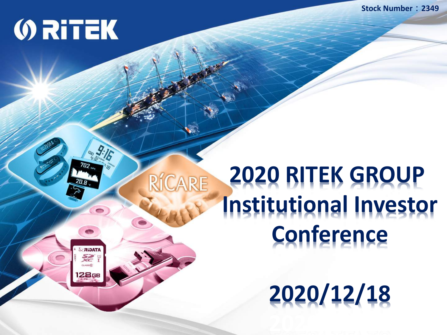**Stock Number:2349**

### **ORITEK**

RIDATA 经!  $C<sub>L</sub> = 66$ 128GE

RÍCARE

### **2020 RITEK GROUP Institutional Investor Conference**

**2020/12/18**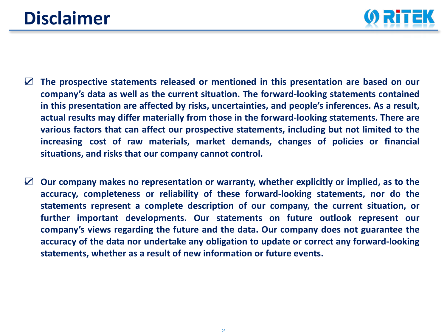### **Disclaimer**



- ☑ **The prospective statements released or mentioned in this presentation are based on our company's data as well as the current situation. The forward-looking statements contained in this presentation are affected by risks, uncertainties, and people's inferences. As a result, actual results may differ materially from those in the forward-looking statements. There are various factors that can affect our prospective statements, including but not limited to the increasing cost of raw materials, market demands, changes of policies or financial situations, and risks that our company cannot control.**
- ☑ **Our company makes no representation or warranty, whether explicitly or implied, as to the accuracy, completeness or reliability of these forward-looking statements, nor do the statements represent a complete description of our company, the current situation, or further important developments. Our statements on future outlook represent our company's views regarding the future and the data. Our company does not guarantee the accuracy of the data nor undertake any obligation to update or correct any forward-looking statements, whether as a result of new information or future events.**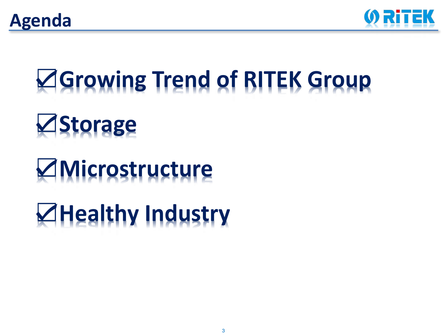



# ☑**Growing Trend of RITEK Group** ☑**Storage**

### ☑**Microstructure**

### ☑**Healthy Industry**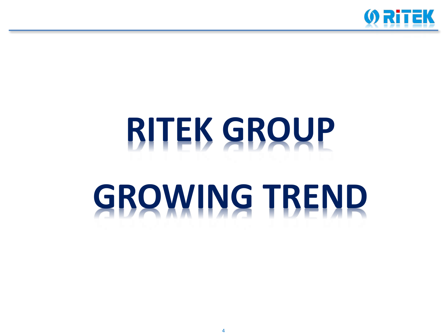

# **RITEK GROUP GROWING TREND**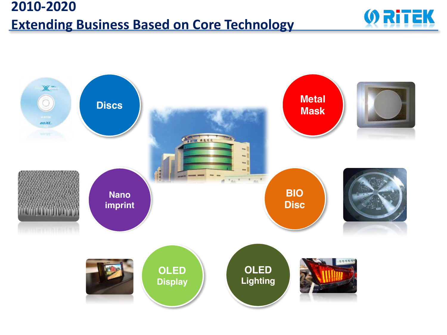#### **2010-2020 Extending Business Based on Core Technology**



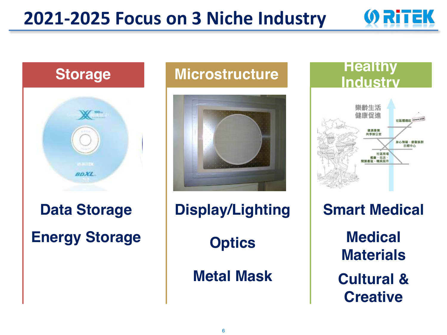#### **2021-2025 Focus on 3 Niche Industry**



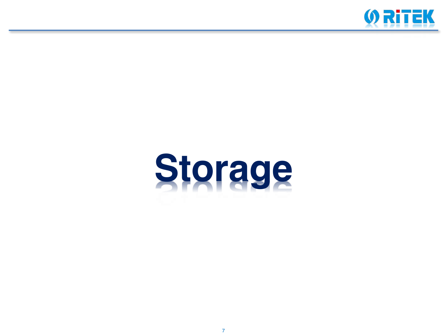

# **Storage**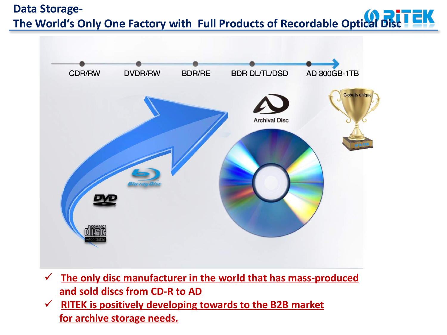#### **Data Storage-**The World's Only One Factory with Full Products of Recordable Optical Disc<sup>1</sup>



- $\checkmark$  The only disc manufacturer in the world that has mass-produced and sold discs from CD-R to AD
- **RITEK** is positively developing towards to the B2B market for archive storage needs.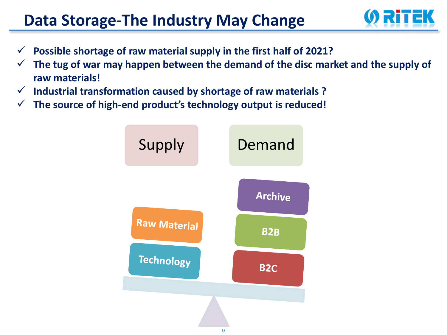#### **Data Storage-The Industry May Change**



- Possible shortage of raw material supply in the first half of 2021?
- The tug of war may happen between the demand of the disc market and the supply of **raw materials!**
- $\checkmark$  Industrial transformation caused by shortage of raw materials ?
- $\checkmark$  The source of high-end product's technology output is reduced!

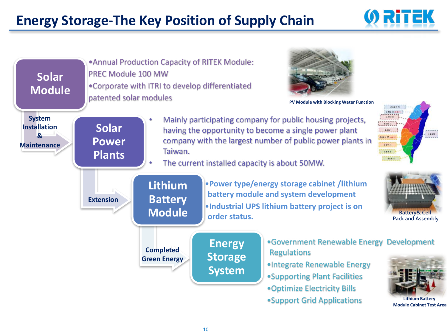#### **Energy Storage-The Key Position of Supply Chain**



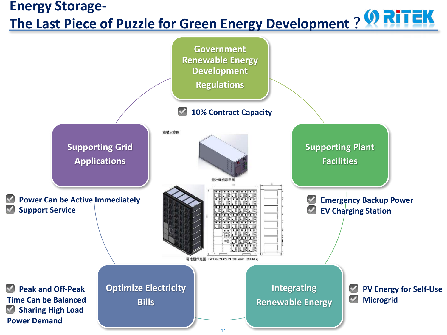#### **Energy Storage-The Last Piece of Puzzle for Green Energy Development?**

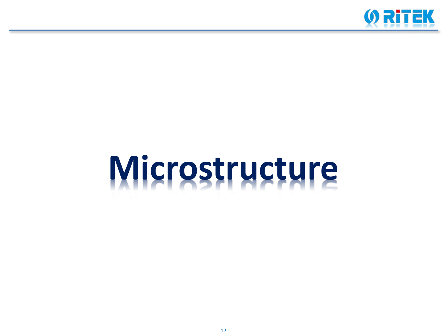

# **Microstructure**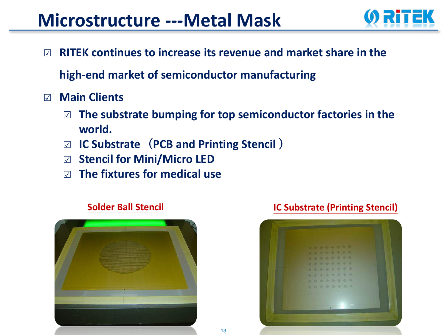#### **Microstructure ---Metal Mask**



☑︎ **RITEK continues to increase its revenue and market share in the** 

**high-end market of semiconductor manufacturing**

- ☑︎ **Main Clients**
	- $□$  **The substrate bumping for top semiconductor factories in the world.**
	- ☑︎ **IC Substrate**(**PCB and Printing Stencil** )
	- ☑︎ **Stencil for Mini/Micro LED**
	- ☑︎ **The fixtures for medical use**





#### **Solder Ball Stencil IC Substrate (Printing Stencil)**

13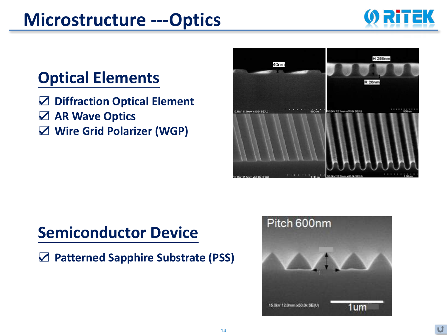#### **Microstructure ---Optics**



#### **Optical Elements**

- ☑ **Diffraction Optical Element**
- ☑ **AR Wave Optics**
- ☑ **Wire Grid Polarizer (WGP)**



#### **Semiconductor Device**

☑ **Patterned Sapphire Substrate (PSS)**

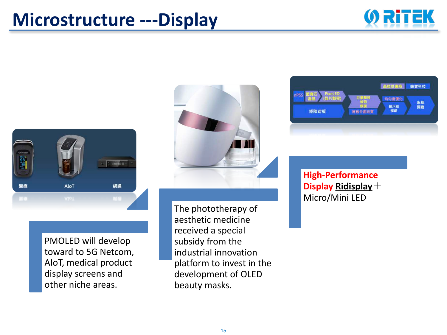#### **Microstructure ---Display**





PMOLED will develop toward to 5G Netcom, AIoT, medical product display screens and other niche areas.



The phototherapy of aesthetic medicine received a special subsidy from the industrial innovation platform to invest in the development of OLED beauty masks.



**High-Performance Display Ridisplay**+ Micro/Mini LED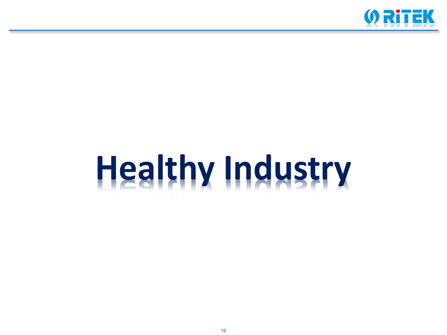

# Healthy Industry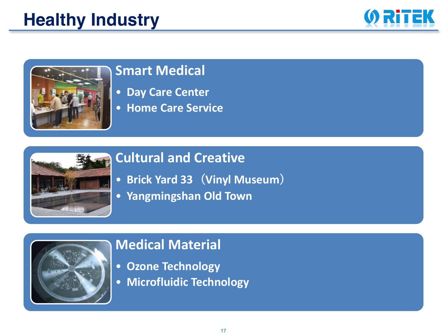#### **Healthy Industry**





#### **Smart Medical**

- **Day Care Center**
- **Home Care Service**



#### **Cultural and Creative**

- **Brick Yard 33**(**Vinyl Museum**)
- **Yangmingshan Old Town**



#### **Medical Material**

- **Ozone Technology**
- **Microfluidic Technology**